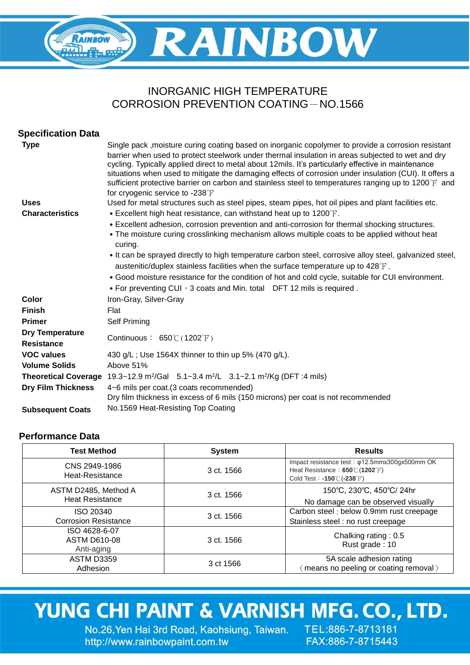## **RAINBOW** RAINBOW  $\frac{1}{\sqrt{2}}$

### INORGANIC HIGH TEMPERATURE CORROSION PREVENTION COATING-NO.1566

| <b>Specification Data</b>                   |                                                                                                                                                                                                                                                                                                                                                                                                                                                                                                                                                                      |
|---------------------------------------------|----------------------------------------------------------------------------------------------------------------------------------------------------------------------------------------------------------------------------------------------------------------------------------------------------------------------------------------------------------------------------------------------------------------------------------------------------------------------------------------------------------------------------------------------------------------------|
| <b>Type</b>                                 | Single pack , moisture curing coating based on inorganic copolymer to provide a corrosion resistant<br>barrier when used to protect steelwork under thermal insulation in areas subjected to wet and dry<br>cycling. Typically applied direct to metal about 12mils. It's particularly effective in maintenance<br>situations when used to mitigate the damaging effects of corrosion under insulation (CUI). It offers a<br>sufficient protective barrier on carbon and stainless steel to temperatures ranging up to 1200°F and<br>for cryogenic service to -238°F |
| <b>Uses</b>                                 | Used for metal structures such as steel pipes, steam pipes, hot oil pipes and plant facilities etc.                                                                                                                                                                                                                                                                                                                                                                                                                                                                  |
| <b>Characteristics</b>                      | • Excellent high heat resistance, can withstand heat up to $1200^{\circ}$ F.                                                                                                                                                                                                                                                                                                                                                                                                                                                                                         |
|                                             | • Excellent adhesion, corrosion prevention and anti-corrosion for thermal shocking structures.<br>• The moisture curing crosslinking mechanism allows multiple coats to be applied without heat<br>curing.                                                                                                                                                                                                                                                                                                                                                           |
|                                             | • It can be sprayed directly to high temperature carbon steel, corrosive alloy steel, galvanized steel,<br>austenitic/duplex stainless facilities when the surface temperature up to $428^{\circ}$ .                                                                                                                                                                                                                                                                                                                                                                 |
|                                             | • Good moisture resistance for the condition of hot and cold cycle, suitable for CUI environment.                                                                                                                                                                                                                                                                                                                                                                                                                                                                    |
|                                             | • For preventing CUI $\cdot$ 3 coats and Min. total DFT 12 mils is required.                                                                                                                                                                                                                                                                                                                                                                                                                                                                                         |
| Color                                       | Iron-Gray, Silver-Gray                                                                                                                                                                                                                                                                                                                                                                                                                                                                                                                                               |
| <b>Finish</b>                               | Flat                                                                                                                                                                                                                                                                                                                                                                                                                                                                                                                                                                 |
| <b>Primer</b>                               | Self Priming                                                                                                                                                                                                                                                                                                                                                                                                                                                                                                                                                         |
| <b>Dry Temperature</b><br><b>Resistance</b> | Continuous: $650^{\circ}$ (1202 $^{\circ}$ F)                                                                                                                                                                                                                                                                                                                                                                                                                                                                                                                        |
| <b>VOC values</b>                           | 430 g/L; Use 1564X thinner to thin up 5% (470 g/L).                                                                                                                                                                                                                                                                                                                                                                                                                                                                                                                  |
| <b>Volume Solids</b>                        | Above 51%                                                                                                                                                                                                                                                                                                                                                                                                                                                                                                                                                            |
|                                             | <b>Theoretical Coverage</b> 19.3~12.9 m <sup>2</sup> /Gal 5.1~3.4 m <sup>2</sup> /L 3.1~2.1 m <sup>2</sup> /Kg (DFT :4 mils)                                                                                                                                                                                                                                                                                                                                                                                                                                         |
| <b>Dry Film Thickness</b>                   | 4~6 mils per coat. (3 coats recommended)<br>Dry film thickness in excess of 6 mils (150 microns) per coat is not recommended                                                                                                                                                                                                                                                                                                                                                                                                                                         |
| <b>Subsequent Coats</b>                     | No.1569 Heat-Resisting Top Coating                                                                                                                                                                                                                                                                                                                                                                                                                                                                                                                                   |

### **Performance Data**

| <b>Test Method</b>                                 | <b>System</b> | <b>Results</b>                                                                                                                              |
|----------------------------------------------------|---------------|---------------------------------------------------------------------------------------------------------------------------------------------|
| CNS 2949-1986<br>Heat-Resistance                   | 3 ct. 1566    | Impact resistance test: $\varphi$ 12.5mmx300gx500mm OK<br>Heat Resistance: 650°C (1202°F)<br>Cold Test: -150 $\degree$ C (-238 $\degree$ F) |
| ASTM D2485, Method A<br><b>Heat Resistance</b>     | 3 ct. 1566    | 150°C, 230°C, 450°C/ 24hr<br>No damage can be observed visually                                                                             |
| ISO 20340<br><b>Corrosion Resistance</b>           | 3 ct. 1566    | Carbon steel : below 0.9mm rust creepage<br>Stainless steel: no rust creepage                                                               |
| ISO 4628-6-07<br><b>ASTM D610-08</b><br>Anti-aging | 3 ct. 1566    | Chalking rating: 0.5<br>Rust grade: 10                                                                                                      |
| <b>ASTM D3359</b><br>Adhesion                      | 3 ct 1566     | 5A scale adhesion rating<br>means no peeling or coating removal)                                                                            |

# YUNG CHI PAINT & VARNISH MFG. CO., LTD.

No.26, Yen Hai 3rd Road, Kaohsiung, Taiwan. TEL:886-7-8713181 http://www.rainbowpaint.com.tw

FAX:886-7-8715443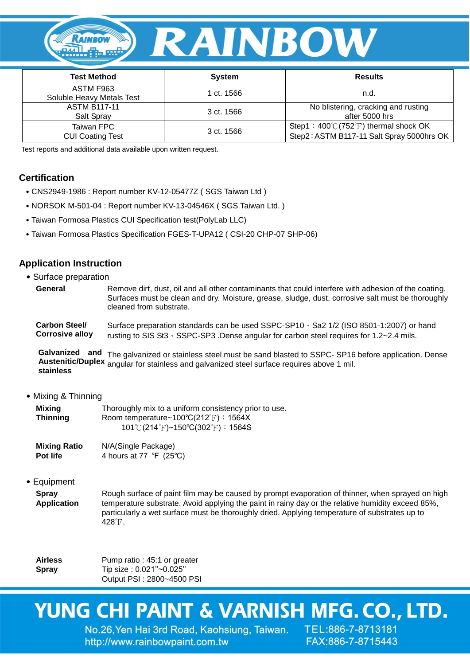

| <b>Test Method</b>                     | <b>System</b> | <b>Results</b>                                                                                        |
|----------------------------------------|---------------|-------------------------------------------------------------------------------------------------------|
| ASTM F963<br>Soluble Heavy Metals Test | 1 ct. 1566    | n.d.                                                                                                  |
| <b>ASTM B117-11</b><br>Salt Spray      | 3 ct. 1566    | No blistering, cracking and rusting<br>after 5000 hrs                                                 |
| Taiwan FPC<br><b>CUI Coating Test</b>  | 3 ct. 1566    | Step1: $400^{\circ}$ (752 $^{\circ}$ F) thermal shock OK<br>Step2: ASTM B117-11 Salt Spray 5000hrs OK |

Test reports and additional data available upon written request.

#### **Certification**

- ˙CNS2949-1986 : Report number KV-12-05477Z ( SGS Taiwan Ltd )
- ˙NORSOK M-501-04 : Report number KV-13-04546X ( SGS Taiwan Ltd. )
- ˙Taiwan Formosa Plastics CUI Specification test(PolyLab LLC)
- ˙Taiwan Formosa Plastics Specification FGES-T-UPA12 ( CSI-20 CHP-07 SHP-06)

#### **Application Instruction**

˙Surface preparation

| General | Remove dirt, dust, oil and all other contaminants that could interfere with adhesion of the coating. |
|---------|------------------------------------------------------------------------------------------------------|
|         | Surfaces must be clean and dry. Moisture, grease, sludge, dust, corrosive salt must be thoroughly    |
|         | cleaned from substrate.                                                                              |

**Carbon Steel/ Corrosive alloy** Surface preparation standards can be used SSPC-SP10、Sa2 1/2 (ISO 8501-1:2007) or hand rusting to SIS St3、SSPC-SP3 .Dense angular for carbon steel requires for 1.2~2.4 mils.

Galvanized and The galvanized or stainless steel must be sand blasted to SSPC- SP16 before application. Dense **Austenitic/Duplex**  angular for stainless and galvanized steel surface requires above 1 mil. **stainless**

#### ˙Mixing & Thinning

| Mixing          | Thoroughly mix to a uniform consistency prior to use.  |
|-----------------|--------------------------------------------------------|
| <b>Thinning</b> | Room temperature~ $100^{\circ}C(212^{\circ}F)$ : 1564X |
|                 | 101°C (214°F)~150°C(302°F): 1564S                      |

**Mixing Ratio Pot life** N/A(Single Package) 4 hours at 77 ℉ (25℃)

#### ˙Equipment

**Spray Application** Rough surface of paint film may be caused by prompt evaporation of thinner, when sprayed on high temperature substrate. Avoid applying the paint in rainy day or the relative humidity exceed 85%, particularly a wet surface must be thoroughly dried. Applying temperature of substrates up to 428℉.

**Airless Spray** Pump ratio : 45:1 or greater Tip size: 0.021"~0.025" Output PSI : 2800~4500 PSI

## YUNG CHI PAINT & VARNISH MFG. CO., LTD.

No.26, Yen Hai 3rd Road, Kaohsiung, Taiwan. TEL:886-7-8713181 http://www.rainbowpaint.com.tw

FAX:886-7-8715443